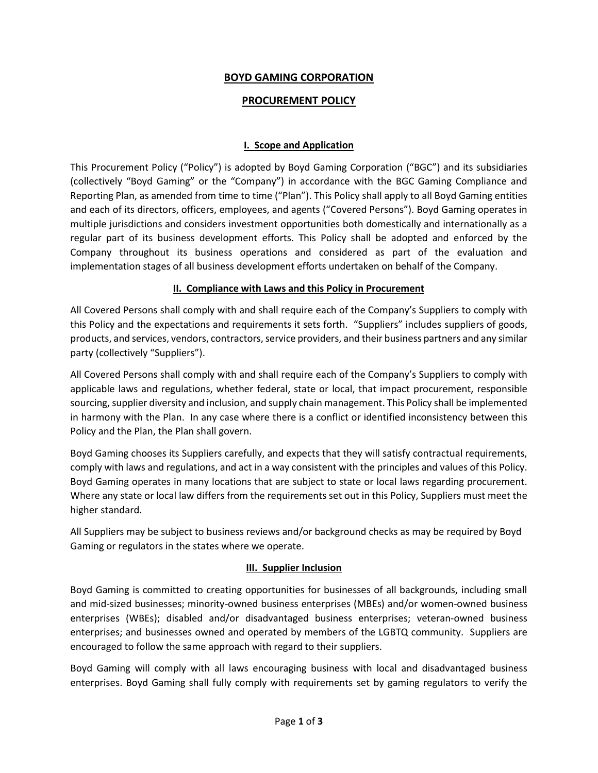# **BOYD GAMING CORPORATION**

# **PROCUREMENT POLICY**

## **I. Scope and Application**

This Procurement Policy ("Policy") is adopted by Boyd Gaming Corporation ("BGC") and its subsidiaries (collectively "Boyd Gaming" or the "Company") in accordance with the BGC Gaming Compliance and Reporting Plan, as amended from time to time ("Plan"). This Policy shall apply to all Boyd Gaming entities and each of its directors, officers, employees, and agents ("Covered Persons"). Boyd Gaming operates in multiple jurisdictions and considers investment opportunities both domestically and internationally as a regular part of its business development efforts. This Policy shall be adopted and enforced by the Company throughout its business operations and considered as part of the evaluation and implementation stages of all business development efforts undertaken on behalf of the Company.

#### **II. Compliance with Laws and this Policy in Procurement**

All Covered Persons shall comply with and shall require each of the Company's Suppliers to comply with this Policy and the expectations and requirements it sets forth. "Suppliers" includes suppliers of goods, products, and services, vendors, contractors, service providers, and their business partners and any similar party (collectively "Suppliers").

All Covered Persons shall comply with and shall require each of the Company's Suppliers to comply with applicable laws and regulations, whether federal, state or local, that impact procurement, responsible sourcing, supplier diversity and inclusion, and supply chain management. This Policy shall be implemented in harmony with the Plan. In any case where there is a conflict or identified inconsistency between this Policy and the Plan, the Plan shall govern.

Boyd Gaming chooses its Suppliers carefully, and expects that they will satisfy contractual requirements, comply with laws and regulations, and act in a way consistent with the principles and values of this Policy. Boyd Gaming operates in many locations that are subject to state or local laws regarding procurement. Where any state or local law differs from the requirements set out in this Policy, Suppliers must meet the higher standard.

All Suppliers may be subject to business reviews and/or background checks as may be required by Boyd Gaming or regulators in the states where we operate.

#### **III. Supplier Inclusion**

Boyd Gaming is committed to creating opportunities for businesses of all backgrounds, including small and mid-sized businesses; minority-owned business enterprises (MBEs) and/or women-owned business enterprises (WBEs); disabled and/or disadvantaged business enterprises; veteran-owned business enterprises; and businesses owned and operated by members of the LGBTQ community. Suppliers are encouraged to follow the same approach with regard to their suppliers.

Boyd Gaming will comply with all laws encouraging business with local and disadvantaged business enterprises. Boyd Gaming shall fully comply with requirements set by gaming regulators to verify the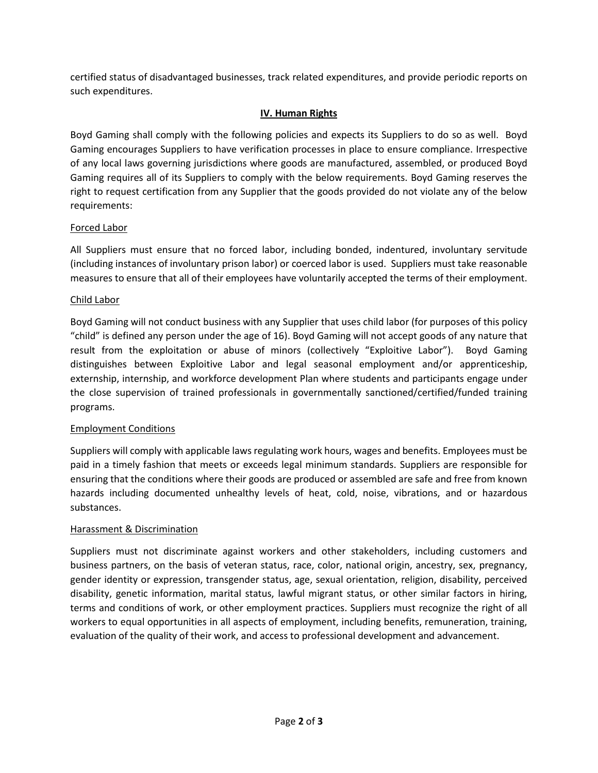certified status of disadvantaged businesses, track related expenditures, and provide periodic reports on such expenditures.

# **IV. Human Rights**

Boyd Gaming shall comply with the following policies and expects its Suppliers to do so as well. Boyd Gaming encourages Suppliers to have verification processes in place to ensure compliance. Irrespective of any local laws governing jurisdictions where goods are manufactured, assembled, or produced Boyd Gaming requires all of its Suppliers to comply with the below requirements. Boyd Gaming reserves the right to request certification from any Supplier that the goods provided do not violate any of the below requirements:

## Forced Labor

All Suppliers must ensure that no forced labor, including bonded, indentured, involuntary servitude (including instances of involuntary prison labor) or coerced labor is used. Suppliers must take reasonable measures to ensure that all of their employees have voluntarily accepted the terms of their employment.

#### Child Labor

Boyd Gaming will not conduct business with any Supplier that uses child labor (for purposes of this policy "child" is defined any person under the age of 16). Boyd Gaming will not accept goods of any nature that result from the exploitation or abuse of minors (collectively "Exploitive Labor"). Boyd Gaming distinguishes between Exploitive Labor and legal seasonal employment and/or apprenticeship, externship, internship, and workforce development Plan where students and participants engage under the close supervision of trained professionals in governmentally sanctioned/certified/funded training programs.

## Employment Conditions

Suppliers will comply with applicable laws regulating work hours, wages and benefits. Employees must be paid in a timely fashion that meets or exceeds legal minimum standards. Suppliers are responsible for ensuring that the conditions where their goods are produced or assembled are safe and free from known hazards including documented unhealthy levels of heat, cold, noise, vibrations, and or hazardous substances.

## Harassment & Discrimination

Suppliers must not discriminate against workers and other stakeholders, including customers and business partners, on the basis of veteran status, race, color, national origin, ancestry, sex, pregnancy, gender identity or expression, transgender status, age, sexual orientation, religion, disability, perceived disability, genetic information, marital status, lawful migrant status, or other similar factors in hiring, terms and conditions of work, or other employment practices. Suppliers must recognize the right of all workers to equal opportunities in all aspects of employment, including benefits, remuneration, training, evaluation of the quality of their work, and access to professional development and advancement.